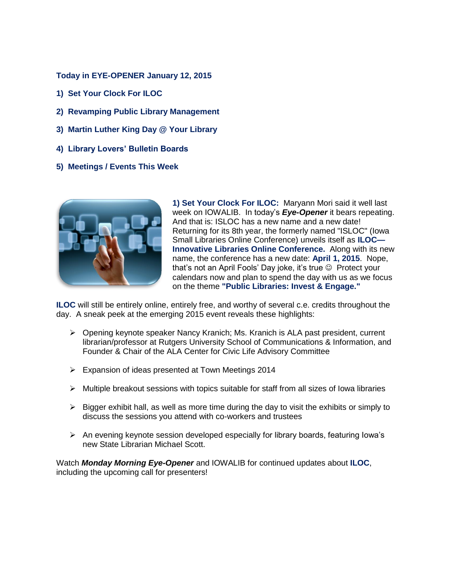**Today in EYE-OPENER January 12, 2015**

- **1) Set Your Clock For ILOC**
- **2) Revamping Public Library Management**
- **3) Martin Luther King Day @ Your Library**
- **4) Library Lovers' Bulletin Boards**
- **5) Meetings / Events This Week**



**1) Set Your Clock For ILOC:** Maryann Mori said it well last week on IOWALIB. In today's *Eye-Opener* it bears repeating. And that is: ISLOC has a new name and a new date! Returning for its 8th year, the formerly named "ISLOC" (Iowa Small Libraries Online Conference) unveils itself as **ILOC— Innovative Libraries Online Conference.** Along with its new name, the conference has a new date: **April 1, 2015**. Nope, that's not an April Fools' Day joke, it's true  $\odot$  Protect your calendars now and plan to spend the day with us as we focus on the theme **"Public Libraries: Invest & Engage."**

**ILOC** will still be entirely online, entirely free, and worthy of several c.e. credits throughout the day. A sneak peek at the emerging 2015 event reveals these highlights:

- $\triangleright$  Opening keynote speaker Nancy Kranich; Ms. Kranich is ALA past president, current librarian/professor at Rutgers University School of Communications & Information, and Founder & Chair of the ALA Center for Civic Life Advisory Committee
- Expansion of ideas presented at Town Meetings 2014
- $\triangleright$  Multiple breakout sessions with topics suitable for staff from all sizes of lowa libraries
- $\triangleright$  Bigger exhibit hall, as well as more time during the day to visit the exhibits or simply to discuss the sessions you attend with co-workers and trustees
- $\triangleright$  An evening keynote session developed especially for library boards, featuring lowa's new State Librarian Michael Scott.

Watch *Monday Morning Eye-Opener* and IOWALIB for continued updates about **ILOC**, including the upcoming call for presenters!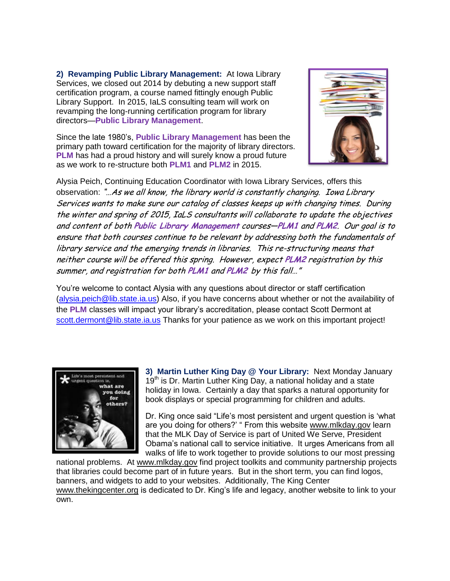**2) Revamping Public Library Management:** At Iowa Library Services, we closed out 2014 by debuting a new support staff certification program, a course named fittingly enough Public Library Support. In 2015, IaLS consulting team will work on revamping the long-running certification program for library directors—**Public Library Management**.

Since the late 1980's, **Public Library Management** has been the primary path toward certification for the majority of library directors. **PLM** has had a proud history and will surely know a proud future as we work to re-structure both **PLM1** and **PLM2** in 2015.



Alysia Peich, Continuing Education Coordinator with Iowa Library Services, offers this observation: "…As we all know, the library world is constantly changing. Iowa Library Services wants to make sure our catalog of classes keeps up with changing times. During the winter and spring of 2015, IaLS consultants will collaborate to update the objectives and content of both **Public Library Management** courses—**PLM1** and **PLM2**. Our goal is to ensure that both courses continue to be relevant by addressing both the fundamentals of library service and the emerging trends in libraries. This re-structuring means that neither course will be offered this spring. However, expect **PLM2** registration by this summer, and registration for both **PLM1** and **PLM2** by this fall…"

You're welcome to contact Alysia with any questions about director or staff certification [\(alysia.peich@lib.state.ia.us\)](mailto:alysia.peich@lib.state.ia.us) Also, if you have concerns about whether or not the availability of the **PLM** classes will impact your library's accreditation, please contact Scott Dermont at [scott.dermont@lib.state.ia.us](mailto:scott.dermont@lib.state.ia.us) Thanks for your patience as we work on this important project!



**3) Martin Luther King Day @ Your Library:** Next Monday January 19<sup>th</sup> is Dr. Martin Luther King Day, a national holiday and a state holiday in Iowa. Certainly a day that sparks a natural opportunity for book displays or special programming for children and adults.

Dr. King once said "Life's most persistent and urgent question is 'what are you doing for others?' " From this website [www.mlkday.gov](http://www.mlkday.gov/) learn that the MLK Day of Service is part of United We Serve, President Obama's national call to service initiative. It urges Americans from all walks of life to work together to provide solutions to our most pressing

national problems. At [www.mlkday.gov](http://www.mlkday.gov/) find project toolkits and community partnership projects that libraries could become part of in future years. But in the short term, you can find logos, banners, and widgets to add to your websites. Additionally, The King Center [www.thekingcenter.org](http://www.thekingcenter.org/) is dedicated to Dr. King's life and legacy, another website to link to your own.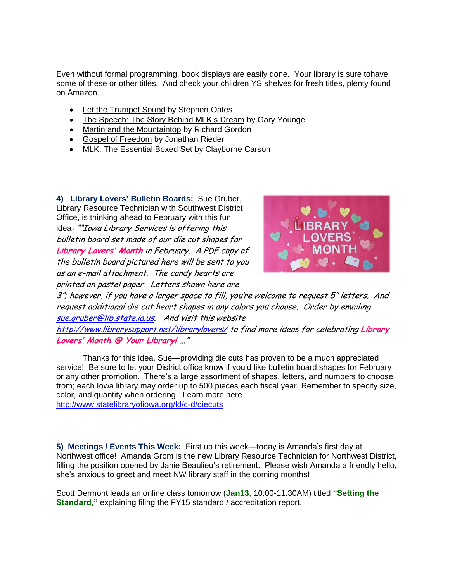Even without formal programming, book displays are easily done. Your library is sure tohave some of these or other titles. And check your children YS shelves for fresh titles, plenty found on Amazon…

- Let the Trumpet Sound by Stephen Oates
- The Speech: The Story Behind MLK's Dream by Gary Younge
- Martin and the Mountaintop by Richard Gordon
- **Gospel of Freedom by Jonathan Rieder**
- MLK: The Essential Boxed Set by Clayborne Carson

**4) Library Lovers' Bulletin Boards:** Sue Gruber, Library Resource Technician with Southwest District Office, is thinking ahead to February with this fun idea: ""Iowa Library Services is offering this bulletin board set made of our die cut shapes for **Library Lovers' Month** in February. A PDF copy of the bulletin board pictured here will be sent to you as an e-mail attachment. The candy hearts are printed on pastel paper. Letters shown here are



3"; however, if you have a larger space to fill, you're welcome to request 5" letters. And request additional die cut heart shapes in any colors you choose. Order by emailing [sue.gruber@lib.state.ia.us.](mailto:sue.gruber@lib.state.ia.us) And visit this website

<http://www.librarysupport.net/librarylovers/> to find more ideas for celebrating **Library Lovers' Month @ Your Library!** …"

Thanks for this idea, Sue—providing die cuts has proven to be a much appreciated service! Be sure to let your District office know if you'd like bulletin board shapes for February or any other promotion. There's a large assortment of shapes, letters, and numbers to choose from; each Iowa library may order up to 500 pieces each fiscal year. Remember to specify size, color, and quantity when ordering. Learn more here <http://www.statelibraryofiowa.org/ld/c-d/diecuts>

**5) Meetings / Events This Week:** First up this week—today is Amanda's first day at Northwest office! Amanda Grom is the new Library Resource Technician for Northwest District, filling the position opened by Janie Beaulieu's retirement. Please wish Amanda a friendly hello, she's anxious to greet and meet NW library staff in the coming months!

Scott Dermont leads an online class tomorrow (**Jan13**, 10:00-11:30AM) titled **"Setting the Standard,"** explaining filing the FY15 standard / accreditation report.